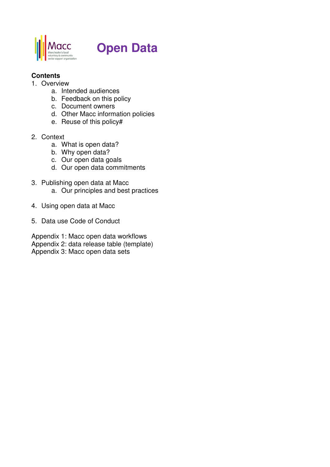

# **Open Data**

#### **Contents**

- 1. Overview
	- a. Intended audiences
	- b. Feedback on this policy
	- c. Document owners
	- d. Other Macc information policies
	- e. Reuse of this policy#
- 2. Context
	- a. What is open data?
	- b. Why open data?
	- c. Our open data goals
	- d. Our open data commitments
- 3. Publishing open data at Macc a. Our principles and best practices
- 4. Using open data at Macc
- 5. Data use Code of Conduct

Appendix 1: Macc open data workflows Appendix 2: data release table (template) Appendix 3: Macc open data sets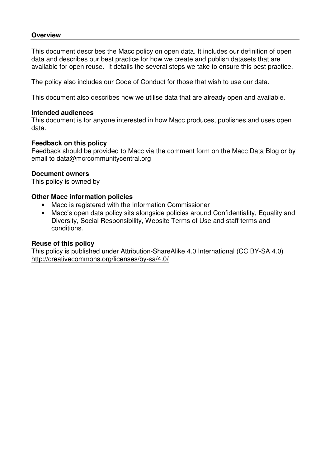#### **Overview**

This document describes the Macc policy on open data. It includes our definition of open data and describes our best practice for how we create and publish datasets that are available for open reuse. It details the several steps we take to ensure this best practice.

The policy also includes our Code of Conduct for those that wish to use our data.

This document also describes how we utilise data that are already open and available.

#### **Intended audiences**

This document is for anyone interested in how Macc produces, publishes and uses open data.

#### **Feedback on this policy**

Feedback should be provided to Macc via the comment form on the Macc Data Blog or by email to data@mcrcommunitycentral.org

#### **Document owners**

This policy is owned by

#### **Other Macc information policies**

- Macc is registered with the Information Commissioner
- Macc's open data policy sits alongside policies around Confidentiality, Equality and Diversity, Social Responsibility, Website Terms of Use and staff terms and conditions.

#### **Reuse of this policy**

This policy is published under Attribution-ShareAlike 4.0 International (CC BY-SA 4.0) http://creativecommons.org/licenses/by-sa/4.0/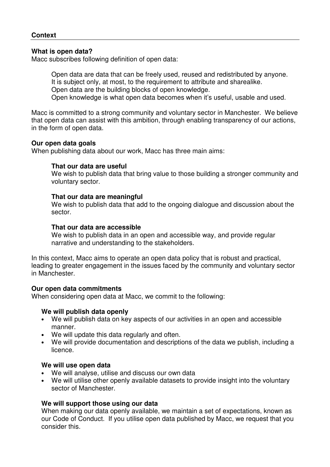#### **What is open data?**

Macc subscribes following definition of open data:

Open data are data that can be freely used, reused and redistributed by anyone. It is subject only, at most, to the requirement to attribute and sharealike. Open data are the building blocks of open knowledge.

Open knowledge is what open data becomes when it's useful, usable and used.

Macc is committed to a strong community and voluntary sector in Manchester. We believe that open data can assist with this ambition, through enabling transparency of our actions, in the form of open data.

#### **Our open data goals**

When publishing data about our work, Macc has three main aims:

#### **That our data are useful**

We wish to publish data that bring value to those building a stronger community and voluntary sector.

#### **That our data are meaningful**

We wish to publish data that add to the ongoing dialogue and discussion about the sector.

#### **That our data are accessible**

We wish to publish data in an open and accessible way, and provide regular narrative and understanding to the stakeholders.

In this context, Macc aims to operate an open data policy that is robust and practical, leading to greater engagement in the issues faced by the community and voluntary sector in Manchester.

#### **Our open data commitments**

When considering open data at Macc, we commit to the following:

#### **We will publish data openly**

- We will publish data on key aspects of our activities in an open and accessible manner.
- We will update this data regularly and often.
- We will provide documentation and descriptions of the data we publish, including a licence.

#### **We will use open data**

- We will analyse, utilise and discuss our own data
- We will utilise other openly available datasets to provide insight into the voluntary sector of Manchester.

#### **We will support those using our data**

When making our data openly available, we maintain a set of expectations, known as our Code of Conduct. If you utilise open data published by Macc, we request that you consider this.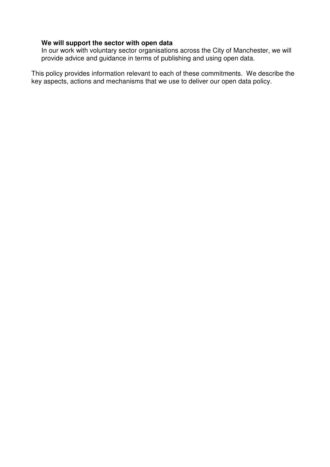## **We will support the sector with open data**

In our work with voluntary sector organisations across the City of Manchester, we will provide advice and guidance in terms of publishing and using open data.

This policy provides information relevant to each of these commitments. We describe the key aspects, actions and mechanisms that we use to deliver our open data policy.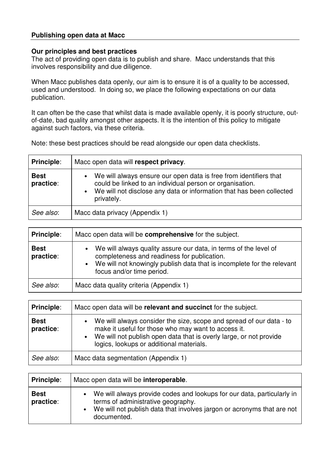#### **Publishing open data at Macc**

#### **Our principles and best practices**

The act of providing open data is to publish and share. Macc understands that this involves responsibility and due diligence.

When Macc publishes data openly, our aim is to ensure it is of a quality to be accessed, used and understood. In doing so, we place the following expectations on our data publication.

It can often be the case that whilst data is made available openly, it is poorly structure, outof-date, bad quality amongst other aspects. It is the intention of this policy to mitigate against such factors, via these criteria.

Note: these best practices should be read alongside our open data checklists.

| <b>Principle:</b>        | Macc open data will respect privacy.                                                                                                                                                                                    |  |
|--------------------------|-------------------------------------------------------------------------------------------------------------------------------------------------------------------------------------------------------------------------|--|
| <b>Best</b><br>practice: | • We will always ensure our open data is free from identifiers that<br>could be linked to an individual person or organisation.<br>• We will not disclose any data or information that has been collected<br>privately. |  |
| See also:                | Macc data privacy (Appendix 1)                                                                                                                                                                                          |  |

| <b>Principle:</b>        | Macc open data will be <b>comprehensive</b> for the subject.                                                                                                                                                                          |  |
|--------------------------|---------------------------------------------------------------------------------------------------------------------------------------------------------------------------------------------------------------------------------------|--|
| <b>Best</b><br>practice: | We will always quality assure our data, in terms of the level of<br>$\bullet$<br>completeness and readiness for publication.<br>• We will not knowingly publish data that is incomplete for the relevant<br>focus and/or time period. |  |
| See also:                | Macc data quality criteria (Appendix 1)                                                                                                                                                                                               |  |

| <b>Principle:</b>        | Macc open data will be relevant and succinct for the subject.                                                                                                                                                                                               |  |
|--------------------------|-------------------------------------------------------------------------------------------------------------------------------------------------------------------------------------------------------------------------------------------------------------|--|
| <b>Best</b><br>practice: | We will always consider the size, scope and spread of our data - to<br>$\bullet$<br>make it useful for those who may want to access it.<br>• We will not publish open data that is overly large, or not provide<br>logics, lookups or additional materials. |  |
| See also:                | Macc data segmentation (Appendix 1)                                                                                                                                                                                                                         |  |

| <b>Principle:</b>        | Macc open data will be interoperable.                                                                                                                                                                 |  |
|--------------------------|-------------------------------------------------------------------------------------------------------------------------------------------------------------------------------------------------------|--|
| <b>Best</b><br>practice: | We will always provide codes and lookups for our data, particularly in<br>terms of administrative geography.<br>We will not publish data that involves jargon or acronyms that are not<br>documented. |  |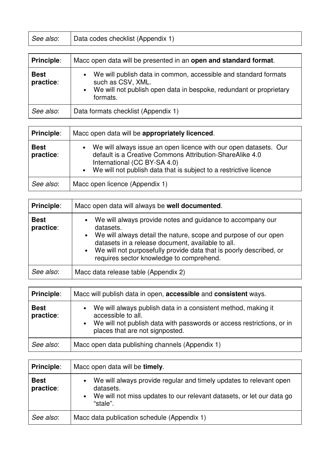| See also: | Data codes checklist (Appendix 1) |
|-----------|-----------------------------------|
|-----------|-----------------------------------|

| <b>Principle:</b>        | Macc open data will be presented in an open and standard format.                                                                                                           |
|--------------------------|----------------------------------------------------------------------------------------------------------------------------------------------------------------------------|
| <b>Best</b><br>practice: | • We will publish data in common, accessible and standard formats<br>such as CSV, XML.<br>• We will not publish open data in bespoke, redundant or proprietary<br>formats. |
| See also:                | Data formats checklist (Appendix 1)                                                                                                                                        |

| <b>Principle:</b>        | Macc open data will be appropriately licenced.                                                                                                                                                                                      |
|--------------------------|-------------------------------------------------------------------------------------------------------------------------------------------------------------------------------------------------------------------------------------|
| <b>Best</b><br>practice: | We will always issue an open licence with our open datasets. Our<br>default is a Creative Commons Attribution-ShareAlike 4.0<br>International (CC BY-SA 4.0)<br>• We will not publish data that is subject to a restrictive licence |
| See also:                | Macc open licence (Appendix 1)                                                                                                                                                                                                      |

| <b>Principle:</b>        | Macc open data will always be well documented.                                                                                                                                                                                                                                                                          |
|--------------------------|-------------------------------------------------------------------------------------------------------------------------------------------------------------------------------------------------------------------------------------------------------------------------------------------------------------------------|
| <b>Best</b><br>practice: | • We will always provide notes and guidance to accompany our<br>datasets.<br>• We will always detail the nature, scope and purpose of our open<br>datasets in a release document, available to all.<br>• We will not purposefully provide data that is poorly described, or<br>requires sector knowledge to comprehend. |
| See also:                | Macc data release table (Appendix 2)                                                                                                                                                                                                                                                                                    |

| <b>Principle:</b>        | Macc will publish data in open, accessible and consistent ways.                                                                                                                                     |  |
|--------------------------|-----------------------------------------------------------------------------------------------------------------------------------------------------------------------------------------------------|--|
| <b>Best</b><br>practice: | • We will always publish data in a consistent method, making it<br>accessible to all.<br>• We will not publish data with passwords or access restrictions, or in<br>places that are not signposted. |  |
| See also:                | Macc open data publishing channels (Appendix 1)                                                                                                                                                     |  |

| Principle:               | Macc open data will be timely.                                                                                                                                         |  |
|--------------------------|------------------------------------------------------------------------------------------------------------------------------------------------------------------------|--|
| <b>Best</b><br>practice: | We will always provide regular and timely updates to relevant open<br>datasets.<br>• We will not miss updates to our relevant datasets, or let our data go<br>"stale". |  |
| See also:                | Macc data publication schedule (Appendix 1)                                                                                                                            |  |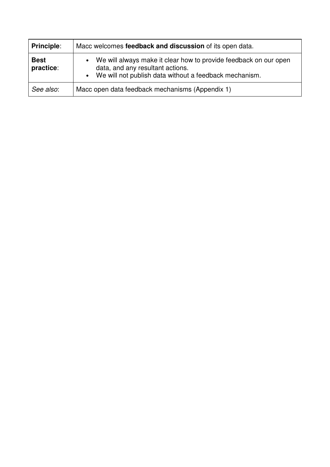| <b>Principle:</b>        | Macc welcomes feedback and discussion of its open data.                                                                                                                                  |  |
|--------------------------|------------------------------------------------------------------------------------------------------------------------------------------------------------------------------------------|--|
| <b>Best</b><br>practice: | We will always make it clear how to provide feedback on our open<br>$\bullet$<br>data, and any resultant actions.<br>We will not publish data without a feedback mechanism.<br>$\bullet$ |  |
| See also:                | Macc open data feedback mechanisms (Appendix 1)                                                                                                                                          |  |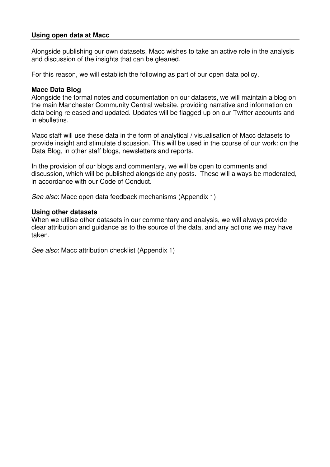#### **Using open data at Macc**

Alongside publishing our own datasets, Macc wishes to take an active role in the analysis and discussion of the insights that can be gleaned.

For this reason, we will establish the following as part of our open data policy.

#### **Macc Data Blog**

Alongside the formal notes and documentation on our datasets, we will maintain a blog on the main Manchester Community Central website, providing narrative and information on data being released and updated. Updates will be flagged up on our Twitter accounts and in ebulletins.

Macc staff will use these data in the form of analytical / visualisation of Macc datasets to provide insight and stimulate discussion. This will be used in the course of our work: on the Data Blog, in other staff blogs, newsletters and reports.

In the provision of our blogs and commentary, we will be open to comments and discussion, which will be published alongside any posts. These will always be moderated, in accordance with our Code of Conduct.

See also: Macc open data feedback mechanisms (Appendix 1)

#### **Using other datasets**

When we utilise other datasets in our commentary and analysis, we will always provide clear attribution and guidance as to the source of the data, and any actions we may have taken.

See also: Macc attribution checklist (Appendix 1)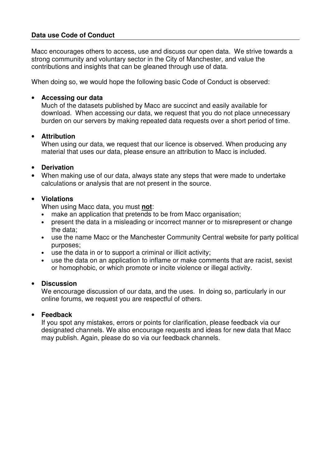#### **Data use Code of Conduct**

Macc encourages others to access, use and discuss our open data. We strive towards a strong community and voluntary sector in the City of Manchester, and value the contributions and insights that can be gleaned through use of data.

When doing so, we would hope the following basic Code of Conduct is observed:

#### • **Accessing our data**

Much of the datasets published by Macc are succinct and easily available for download. When accessing our data, we request that you do not place unnecessary burden on our servers by making repeated data requests over a short period of time.

#### • **Attribution**

When using our data, we request that our licence is observed. When producing any material that uses our data, please ensure an attribution to Macc is included.

#### • **Derivation**

• When making use of our data, always state any steps that were made to undertake calculations or analysis that are not present in the source.

#### • **Violations**

When using Macc data, you must **not**:

- make an application that pretends to be from Macc organisation;
- present the data in a misleading or incorrect manner or to misrepresent or change the data;
- use the name Macc or the Manchester Community Central website for party political purposes;
- use the data in or to support a criminal or illicit activity;
- use the data on an application to inflame or make comments that are racist, sexist or homophobic, or which promote or incite violence or illegal activity.

#### • **Discussion**

We encourage discussion of our data, and the uses. In doing so, particularly in our online forums, we request you are respectful of others.

#### • **Feedback**

If you spot any mistakes, errors or points for clarification, please feedback via our designated channels. We also encourage requests and ideas for new data that Macc may publish. Again, please do so via our feedback channels.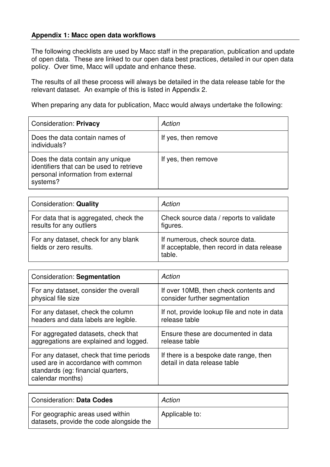#### **Appendix 1: Macc open data workflows**

The following checklists are used by Macc staff in the preparation, publication and update of open data. These are linked to our open data best practices, detailed in our open data policy. Over time, Macc will update and enhance these.

The results of all these process will always be detailed in the data release table for the relevant dataset. An example of this is listed in Appendix 2.

When preparing any data for publication, Macc would always undertake the following:

| <b>Consideration: Privacy</b>                                                                                                  | Action              |
|--------------------------------------------------------------------------------------------------------------------------------|---------------------|
| Does the data contain names of<br>individuals?                                                                                 | If yes, then remove |
| Does the data contain any unique<br>identifiers that can be used to retrieve<br>personal information from external<br>systems? | If yes, then remove |

| <b>Consideration: Quality</b>                                      | Action                                                                                  |
|--------------------------------------------------------------------|-----------------------------------------------------------------------------------------|
| For data that is aggregated, check the<br>results for any outliers | Check source data / reports to validate<br>figures.                                     |
| For any dataset, check for any blank<br>fields or zero results.    | If numerous, check source data.<br>If acceptable, then record in data release<br>table. |

| Consideration: Segmentation                                                                                                              | Action                                                                 |
|------------------------------------------------------------------------------------------------------------------------------------------|------------------------------------------------------------------------|
| For any dataset, consider the overall                                                                                                    | If over 10MB, then check contents and                                  |
| physical file size                                                                                                                       | consider further segmentation                                          |
| For any dataset, check the column                                                                                                        | If not, provide lookup file and note in data                           |
| headers and data labels are legible.                                                                                                     | release table                                                          |
| For aggregated datasets, check that                                                                                                      | Ensure these are documented in data                                    |
| aggregations are explained and logged.                                                                                                   | release table                                                          |
| For any dataset, check that time periods<br>used are in accordance with common<br>standards (eg: financial quarters,<br>calendar months) | If there is a bespoke date range, then<br>detail in data release table |

| <b>Consideration: Data Codes</b>                                             | Action         |
|------------------------------------------------------------------------------|----------------|
| For geographic areas used within<br>datasets, provide the code alongside the | Applicable to: |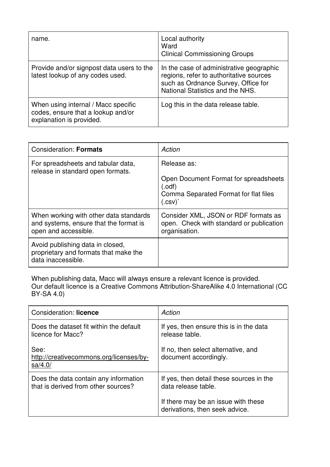| name.                                                                                                 | Local authority<br>Ward<br><b>Clinical Commissioning Groups</b>                                                                                                |
|-------------------------------------------------------------------------------------------------------|----------------------------------------------------------------------------------------------------------------------------------------------------------------|
| Provide and/or signpost data users to the<br>latest lookup of any codes used.                         | In the case of administrative geographic<br>regions, refer to authoritative sources<br>such as Ordnance Survey, Office for<br>National Statistics and the NHS. |
| When using internal / Macc specific<br>codes, ensure that a lookup and/or<br>explanation is provided. | Log this in the data release table.                                                                                                                            |

| <b>Consideration: Formats</b>                                                                            | Action                                                                                                                 |
|----------------------------------------------------------------------------------------------------------|------------------------------------------------------------------------------------------------------------------------|
| For spreadsheets and tabular data,<br>release in standard open formats.                                  | Release as:<br>Open Document Format for spreadsheets<br>$(.$ odf $)$<br>Comma Separated Format for flat files<br>(csv) |
| When working with other data standards<br>and systems, ensure that the format is<br>open and accessible. | Consider XML, JSON or RDF formats as<br>open. Check with standard or publication<br>organisation.                      |
| Avoid publishing data in closed,<br>proprietary and formats that make the<br>data inaccessible.          |                                                                                                                        |

When publishing data, Macc will always ensure a relevant licence is provided. Our default licence is a Creative Commons Attribution-ShareAlike 4.0 International (CC BY-SA 4.0)

| Consideration: licence                                                       | Action                                                                |
|------------------------------------------------------------------------------|-----------------------------------------------------------------------|
| Does the dataset fit within the default<br>licence for Macc?                 | If yes, then ensure this is in the data<br>release table.             |
| See:<br>http://creativecommons.org/licenses/by-<br>sa/4.0/                   | If no, then select alternative, and<br>document accordingly.          |
| Does the data contain any information<br>that is derived from other sources? | If yes, then detail these sources in the<br>data release table.       |
|                                                                              | If there may be an issue with these<br>derivations, then seek advice. |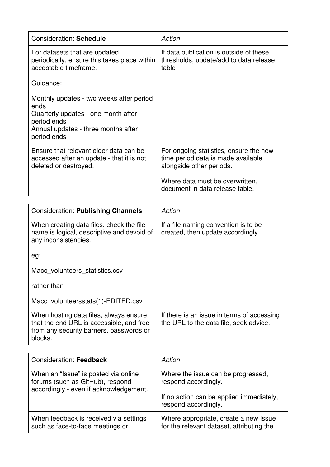| <b>Consideration: Schedule</b>                                                                                                                               | Action                                                                                                                                                                         |
|--------------------------------------------------------------------------------------------------------------------------------------------------------------|--------------------------------------------------------------------------------------------------------------------------------------------------------------------------------|
| For datasets that are updated<br>periodically, ensure this takes place within<br>acceptable timeframe.                                                       | If data publication is outside of these<br>thresholds, update/add to data release<br>table                                                                                     |
| Guidance:                                                                                                                                                    |                                                                                                                                                                                |
| Monthly updates - two weeks after period<br>ends<br>Quarterly updates - one month after<br>period ends<br>Annual updates - three months after<br>period ends |                                                                                                                                                                                |
| Ensure that relevant older data can be<br>accessed after an update - that it is not<br>deleted or destroyed.                                                 | For ongoing statistics, ensure the new<br>time period data is made available<br>alongside other periods.<br>Where data must be overwritten,<br>document in data release table. |
|                                                                                                                                                              |                                                                                                                                                                                |
| <b>Consideration: Publishing Channels</b>                                                                                                                    | Action                                                                                                                                                                         |
| When creating data files, check the file                                                                                                                     | If a file naming convention is to be                                                                                                                                           |

| When creating data files, check the file<br>name is logical, descriptive and devoid of<br>any inconsistencies.                            | If a file naming convention is to be<br>created, then update accordingly             |
|-------------------------------------------------------------------------------------------------------------------------------------------|--------------------------------------------------------------------------------------|
| eg:                                                                                                                                       |                                                                                      |
| Macc volunteers statistics.csv                                                                                                            |                                                                                      |
| rather than                                                                                                                               |                                                                                      |
| Macc volunteersstats(1)-EDITED.csv                                                                                                        |                                                                                      |
| When hosting data files, always ensure<br>that the end URL is accessible, and free<br>from any security barriers, passwords or<br>blocks. | If there is an issue in terms of accessing<br>the URL to the data file, seek advice. |

| <b>Consideration: Feedback</b>                                                                                     | Action                                                                             |
|--------------------------------------------------------------------------------------------------------------------|------------------------------------------------------------------------------------|
| When an "Issue" is posted via online<br>forums (such as GitHub), respond<br>accordingly - even if acknowledgement. | Where the issue can be progressed,<br>respond accordingly.                         |
|                                                                                                                    | If no action can be applied immediately,<br>respond accordingly.                   |
| When feedback is received via settings<br>such as face-to-face meetings or                                         | Where appropriate, create a new Issue<br>for the relevant dataset, attributing the |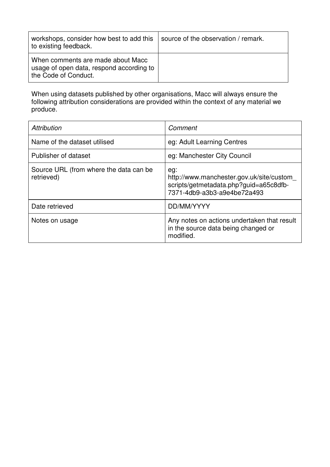| workshops, consider how best to add this<br>to existing feedback.                                     | source of the observation / remark. |
|-------------------------------------------------------------------------------------------------------|-------------------------------------|
| When comments are made about Macc<br>usage of open data, respond according to<br>the Code of Conduct. |                                     |

When using datasets published by other organisations, Macc will always ensure the following attribution considerations are provided within the context of any material we produce.

| <b>Attribution</b>                                   | Comment                                                                                                                  |
|------------------------------------------------------|--------------------------------------------------------------------------------------------------------------------------|
| Name of the dataset utilised                         | eg: Adult Learning Centres                                                                                               |
| Publisher of dataset                                 | eg: Manchester City Council                                                                                              |
| Source URL (from where the data can be<br>retrieved) | eg:<br>http://www.manchester.gov.uk/site/custom<br>scripts/getmetadata.php?guid=a65c8dfb-<br>7371-4db9-a3b3-a9e4be72a493 |
| Date retrieved                                       | DD/MM/YYYY                                                                                                               |
| Notes on usage                                       | Any notes on actions undertaken that result<br>in the source data being changed or<br>modified.                          |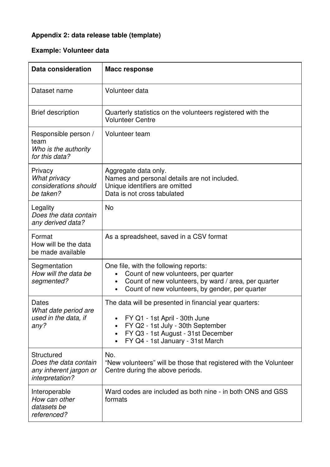# **Appendix 2: data release table (template)**

# **Example: Volunteer data**

| Data consideration                                                               | <b>Macc response</b>                                                                                                                                                                                                             |
|----------------------------------------------------------------------------------|----------------------------------------------------------------------------------------------------------------------------------------------------------------------------------------------------------------------------------|
| Dataset name                                                                     | Volunteer data                                                                                                                                                                                                                   |
| <b>Brief description</b>                                                         | Quarterly statistics on the volunteers registered with the<br><b>Volunteer Centre</b>                                                                                                                                            |
| Responsible person /<br>team<br>Who is the authority<br>for this data?           | Volunteer team                                                                                                                                                                                                                   |
| Privacy<br><b>What privacy</b><br>considerations should<br>be taken?             | Aggregate data only.<br>Names and personal details are not included.<br>Unique identifiers are omitted<br>Data is not cross tabulated                                                                                            |
| Legality<br>Does the data contain<br>any derived data?                           | <b>No</b>                                                                                                                                                                                                                        |
| Format<br>How will be the data<br>be made available                              | As a spreadsheet, saved in a CSV format                                                                                                                                                                                          |
| Segmentation<br>How will the data be<br>segmented?                               | One file, with the following reports:<br>Count of new volunteers, per quarter<br>Count of new volunteers, by ward / area, per quarter<br>$\bullet$<br>Count of new volunteers, by gender, per quarter<br>$\bullet$               |
| Dates<br>What date period are<br>used in the data, if<br>any?                    | The data will be presented in financial year quarters:<br>FY Q1 - 1st April - 30th June<br>FY Q2 - 1st July - 30th September<br>FY Q3 - 1st August - 31st December<br>$\bullet$<br>FY Q4 - 1st January - 31st March<br>$\bullet$ |
| Structured<br>Does the data contain<br>any inherent jargon or<br>interpretation? | No.<br>"New volunteers" will be those that registered with the Volunteer<br>Centre during the above periods.                                                                                                                     |
| Interoperable<br>How can other<br>datasets be<br>referenced?                     | Ward codes are included as both nine - in both ONS and GSS<br>formats                                                                                                                                                            |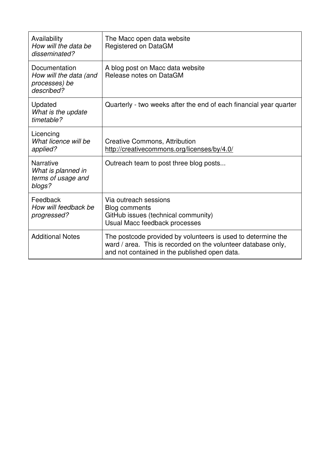| Availability<br>How will the data be<br>disseminated?                  | The Macc open data website<br>Registered on DataGM                                                                                                                             |
|------------------------------------------------------------------------|--------------------------------------------------------------------------------------------------------------------------------------------------------------------------------|
| Documentation<br>How will the data (and<br>processes) be<br>described? | A blog post on Macc data website<br>Release notes on DataGM                                                                                                                    |
| Updated<br>What is the update<br>timetable?                            | Quarterly - two weeks after the end of each financial year quarter                                                                                                             |
| Licencing<br>What licence will be<br>applied?                          | <b>Creative Commons, Attribution</b><br>http://creativecommons.org/licenses/by/4.0/                                                                                            |
| <b>Narrative</b><br>What is planned in<br>terms of usage and<br>blogs? | Outreach team to post three blog posts                                                                                                                                         |
| Feedback<br>How will feedback be<br>progressed?                        | Via outreach sessions<br>Blog comments<br>GitHub issues (technical community)<br>Usual Macc feedback processes                                                                 |
| <b>Additional Notes</b>                                                | The postcode provided by volunteers is used to determine the<br>ward / area. This is recorded on the volunteer database only,<br>and not contained in the published open data. |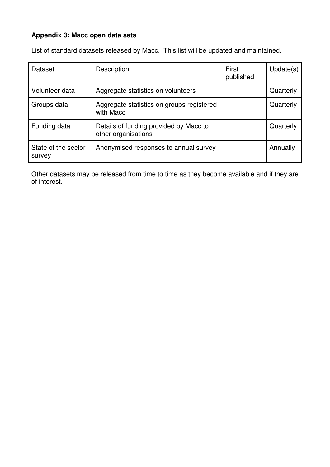## **Appendix 3: Macc open data sets**

List of standard datasets released by Macc. This list will be updated and maintained.

| Dataset                       | Description                                                   | First<br>published | Update(s) |
|-------------------------------|---------------------------------------------------------------|--------------------|-----------|
| Volunteer data                | Aggregate statistics on volunteers                            |                    | Quarterly |
| Groups data                   | Aggregate statistics on groups registered<br>with Macc        |                    | Quarterly |
| Funding data                  | Details of funding provided by Macc to<br>other organisations |                    | Quarterly |
| State of the sector<br>survey | Anonymised responses to annual survey                         |                    | Annually  |

Other datasets may be released from time to time as they become available and if they are of interest.